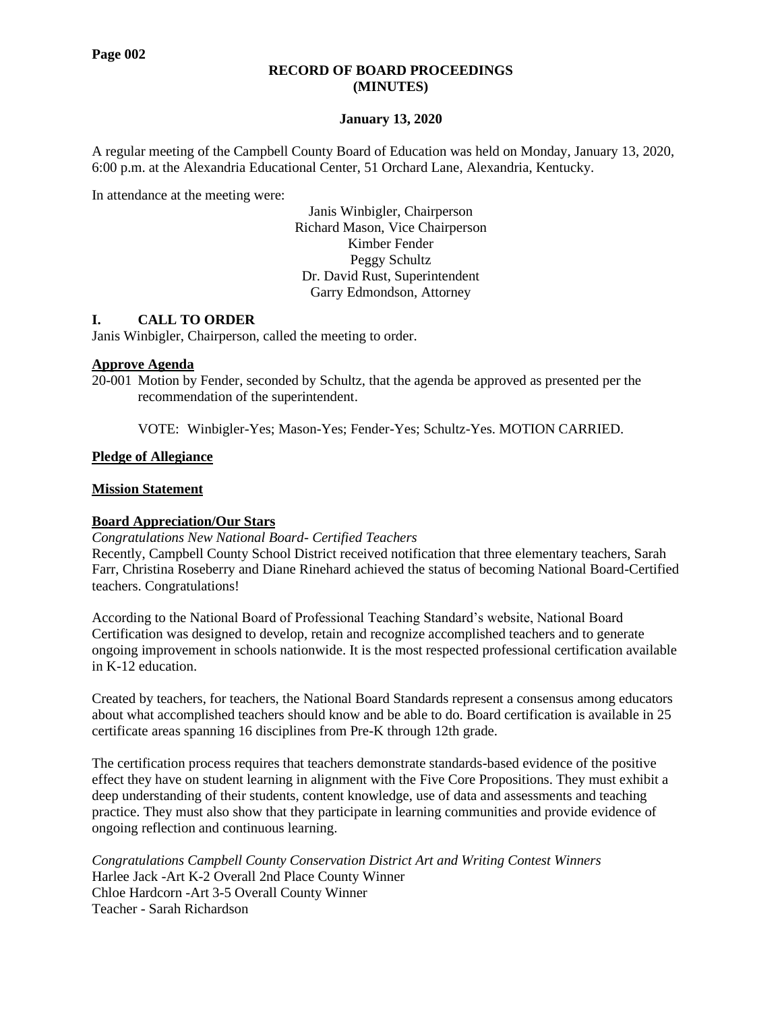# **RECORD OF BOARD PROCEEDINGS (MINUTES)**

# **January 13, 2020**

A regular meeting of the Campbell County Board of Education was held on Monday, January 13, 2020, 6:00 p.m. at the Alexandria Educational Center, 51 Orchard Lane, Alexandria, Kentucky.

In attendance at the meeting were:

Janis Winbigler, Chairperson Richard Mason, Vice Chairperson Kimber Fender Peggy Schultz Dr. David Rust, Superintendent Garry Edmondson, Attorney

# **I. CALL TO ORDER**

Janis Winbigler, Chairperson, called the meeting to order.

# **Approve Agenda**

20-001 Motion by Fender, seconded by Schultz, that the agenda be approved as presented per the recommendation of the superintendent.

VOTE: Winbigler-Yes; Mason-Yes; Fender-Yes; Schultz-Yes. MOTION CARRIED.

# **Pledge of Allegiance**

# **Mission Statement**

# **Board Appreciation/Our Stars**

*Congratulations New National Board- Certified Teachers*

Recently, Campbell County School District received notification that three elementary teachers, Sarah Farr, Christina Roseberry and Diane Rinehard achieved the status of becoming National Board-Certified teachers. Congratulations!

According to the National Board of Professional Teaching Standard's website, National Board Certification was designed to develop, retain and recognize accomplished teachers and to generate ongoing improvement in schools nationwide. It is the most respected professional certification available in K-12 education.

Created by teachers, for teachers, the National Board [Standards](https://www.nbpts.org/vision-and-impact/standards-five-core-propositions/) represent a consensus among educators about what accomplished teachers should know and be able to do. Board certification is available in [25](https://www.nbpts.org/national-board-certification/overview/candidate-center/first-time-and-returning-candidate-resources) [certificate](https://www.nbpts.org/national-board-certification/overview/candidate-center/first-time-and-returning-candidate-resources) areas spanning 16 disciplines from Pre-K through 12th grade.

The certification process requires that teachers demonstrate standards-based evidence of the positive effect they have on student learning in alignment with the Five Core [Propositions.](https://www.nbpts.org/vision-and-impact/standards-five-core-propositions/) They must exhibit a deep understanding of their students, content knowledge, use of data and assessments and teaching practice. They must also show that they participate in learning communities and provide evidence of ongoing reflection and continuous learning.

*Congratulations Campbell County Conservation District Art and Writing Contest Winners*  Harlee Jack -Art K-2 Overall 2nd Place County Winner Chloe Hardcorn -Art 3-5 Overall County Winner Teacher - Sarah Richardson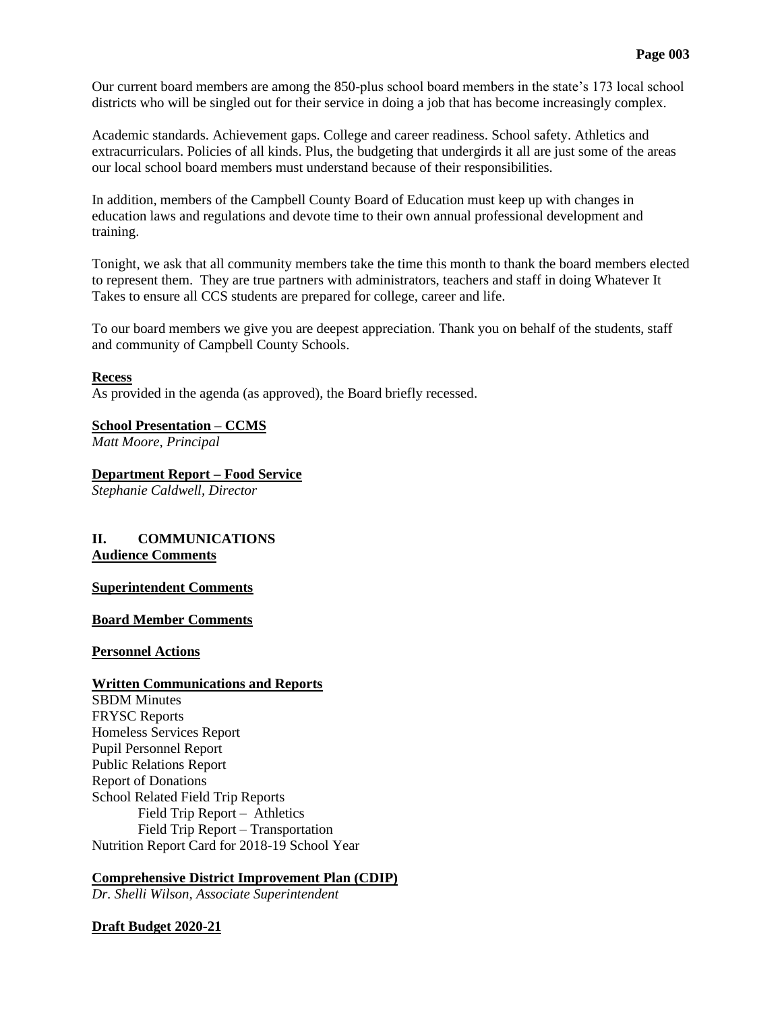Our current board members are among the 850-plus school board members in the state's 173 local school districts who will be singled out for their service in doing a job that has become increasingly complex.

Academic standards. Achievement gaps. College and career readiness. School safety. Athletics and extracurriculars. Policies of all kinds. Plus, the budgeting that undergirds it all are just some of the areas our local school board members must understand because of their responsibilities.

In addition, members of the Campbell County Board of Education must keep up with changes in education laws and regulations and devote time to their own annual professional development and training.

Tonight, we ask that all community members take the time this month to thank the board members elected to represent them. They are true partners with administrators, teachers and staff in doing Whatever It Takes to ensure all CCS students are prepared for college, career and life.

To our board members we give you are deepest appreciation. Thank you on behalf of the students, staff and community of Campbell County Schools.

# **Recess**

As provided in the agenda (as approved), the Board briefly recessed.

# **School Presentation – CCMS**

*Matt Moore, Principal*

**Department Report – Food Service**

*Stephanie Caldwell, Director*

# **II. COMMUNICATIONS Audience Comments**

#### **Superintendent Comments**

**Board Member Comments**

**Personnel Actions**

#### **Written Communications and Reports**

SBDM Minutes FRYSC Reports Homeless Services Report Pupil Personnel Report Public Relations Report Report of Donations School Related Field Trip Reports Field Trip Report – Athletics Field Trip Report – Transportation Nutrition Report Card for 2018-19 School Year

# **Comprehensive District Improvement Plan (CDIP)**

*Dr. Shelli Wilson, Associate Superintendent*

# **Draft Budget 2020-21**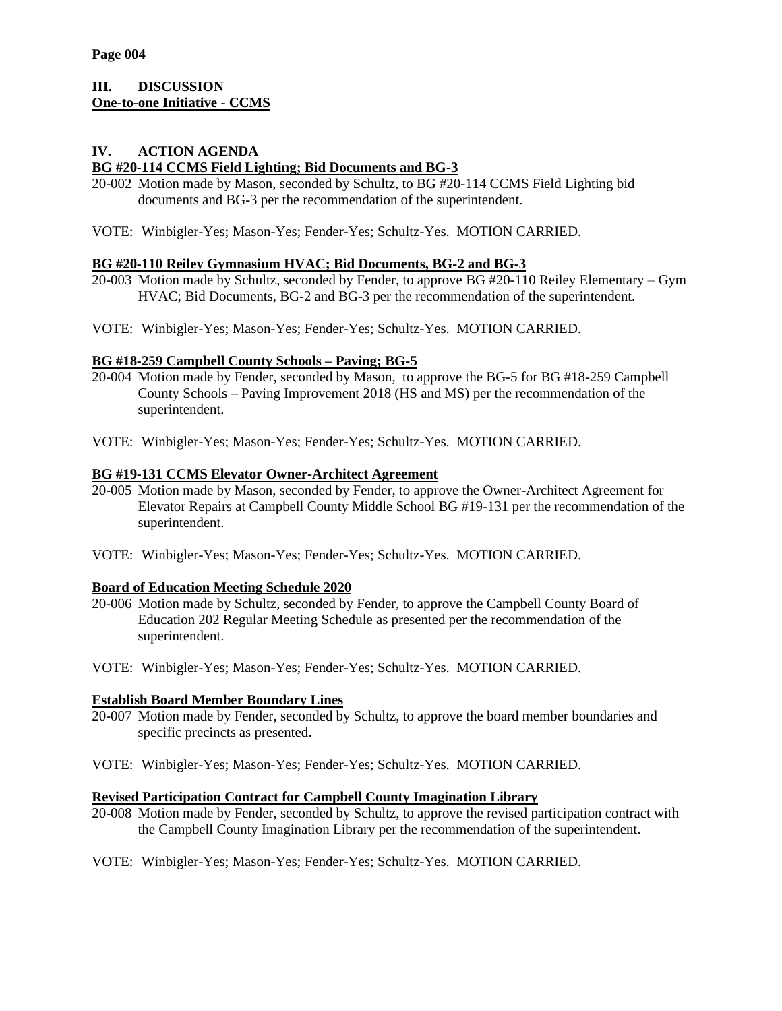# **III. DISCUSSION One-to-one Initiative - CCMS**

#### **IV. ACTION AGENDA BG #20-114 CCMS Field Lighting; Bid Documents and BG-3**

- 20-002 Motion made by Mason, seconded by Schultz, to BG #20-114 CCMS Field Lighting bid documents and BG-3 per the recommendation of the superintendent.
- VOTE: Winbigler-Yes; Mason-Yes; Fender-Yes; Schultz-Yes. MOTION CARRIED.

# **BG #20-110 Reiley Gymnasium HVAC; Bid Documents, BG-2 and BG-3**

- 20-003 Motion made by Schultz, seconded by Fender, to approve BG #20-110 Reiley Elementary Gym HVAC; Bid Documents, BG-2 and BG-3 per the recommendation of the superintendent.
- VOTE: Winbigler-Yes; Mason-Yes; Fender-Yes; Schultz-Yes. MOTION CARRIED.

# **BG #18-259 Campbell County Schools – Paving; BG-5**

- 20-004 Motion made by Fender, seconded by Mason, to approve the BG-5 for BG #18-259 Campbell County Schools – Paving Improvement 2018 (HS and MS) per the recommendation of the superintendent.
- VOTE: Winbigler-Yes; Mason-Yes; Fender-Yes; Schultz-Yes. MOTION CARRIED.

# **BG #19-131 CCMS Elevator Owner-Architect Agreement**

- 20-005 Motion made by Mason, seconded by Fender, to approve the Owner-Architect Agreement for Elevator Repairs at Campbell County Middle School BG #19-131 per the recommendation of the superintendent.
- VOTE: Winbigler-Yes; Mason-Yes; Fender-Yes; Schultz-Yes. MOTION CARRIED.

#### **Board of Education Meeting Schedule 2020**

- 20-006 Motion made by Schultz, seconded by Fender, to approve the Campbell County Board of Education 202 Regular Meeting Schedule as presented per the recommendation of the superintendent.
- VOTE: Winbigler-Yes; Mason-Yes; Fender-Yes; Schultz-Yes. MOTION CARRIED.

#### **Establish Board Member Boundary Lines**

- 20-007 Motion made by Fender, seconded by Schultz, to approve the board member boundaries and specific precincts as presented.
- VOTE: Winbigler-Yes; Mason-Yes; Fender-Yes; Schultz-Yes. MOTION CARRIED.

# **Revised Participation Contract for Campbell County Imagination Library**

- 20-008 Motion made by Fender, seconded by Schultz, to approve the revised participation contract with the Campbell County Imagination Library per the recommendation of the superintendent.
- VOTE: Winbigler-Yes; Mason-Yes; Fender-Yes; Schultz-Yes. MOTION CARRIED.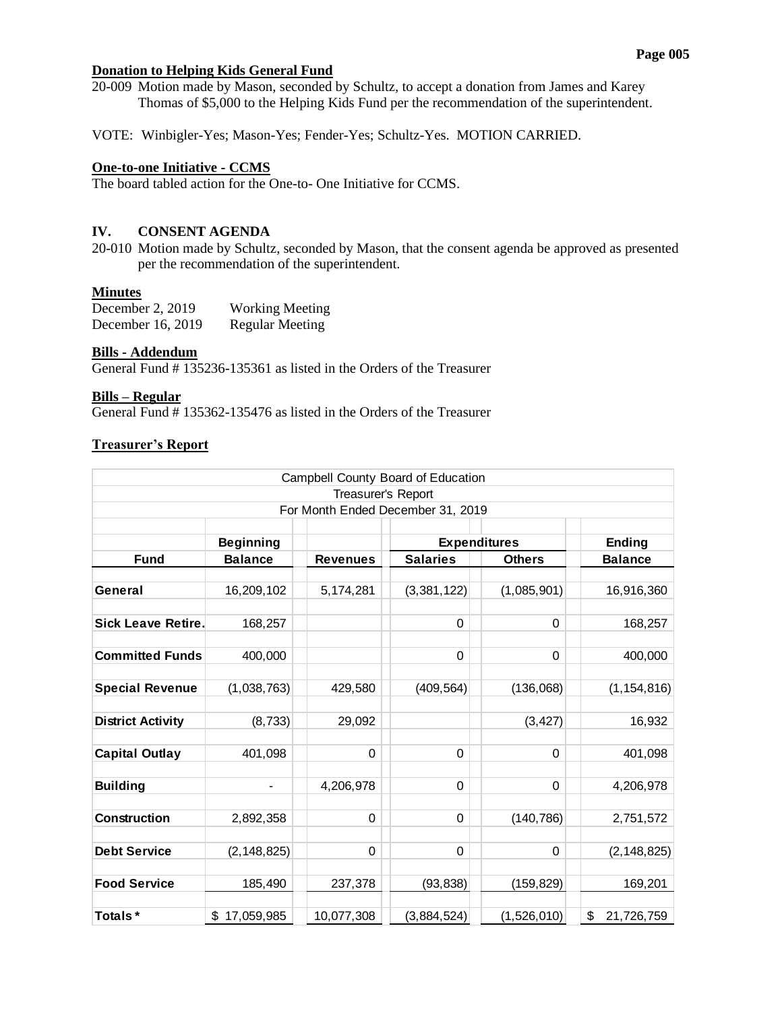# **Donation to Helping Kids General Fund**

20-009 Motion made by Mason, seconded by Schultz, to accept a donation from James and Karey Thomas of \$5,000 to the Helping Kids Fund per the recommendation of the superintendent.

VOTE: Winbigler-Yes; Mason-Yes; Fender-Yes; Schultz-Yes. MOTION CARRIED.

# **One-to-one Initiative - CCMS**

The board tabled action for the One-to- One Initiative for CCMS.

# **IV. CONSENT AGENDA**

20-010 Motion made by Schultz, seconded by Mason, that the consent agenda be approved as presented per the recommendation of the superintendent.

# **Minutes**

| December 2, $2019$ | <b>Working Meeting</b> |
|--------------------|------------------------|
| December 16, 2019  | <b>Regular Meeting</b> |

#### **Bills - Addendum**

General Fund # 135236-135361 as listed in the Orders of the Treasurer

# **Bills – Regular**

General Fund # 135362-135476 as listed in the Orders of the Treasurer

# **Treasurer's Report**

|                                   |                  |                    | Campbell County Board of Education |               |                  |  |  |
|-----------------------------------|------------------|--------------------|------------------------------------|---------------|------------------|--|--|
|                                   |                  | Treasurer's Report |                                    |               |                  |  |  |
| For Month Ended December 31, 2019 |                  |                    |                                    |               |                  |  |  |
|                                   | <b>Beginning</b> |                    | <b>Expenditures</b>                |               | <b>Ending</b>    |  |  |
| <b>Fund</b>                       | <b>Balance</b>   | <b>Revenues</b>    | <b>Salaries</b>                    | <b>Others</b> | <b>Balance</b>   |  |  |
| General                           | 16,209,102       | 5,174,281          | (3,381,122)                        | (1,085,901)   | 16,916,360       |  |  |
| <b>Sick Leave Retire.</b>         | 168,257          |                    | 0                                  | $\Omega$      | 168,257          |  |  |
| <b>Committed Funds</b>            | 400,000          |                    | 0                                  | 0             | 400,000          |  |  |
| <b>Special Revenue</b>            | (1,038,763)      | 429,580            | (409, 564)                         | (136,068)     | (1, 154, 816)    |  |  |
| <b>District Activity</b>          | (8, 733)         | 29,092             |                                    | (3, 427)      | 16,932           |  |  |
| <b>Capital Outlay</b>             | 401,098          | 0                  | 0                                  | 0             | 401,098          |  |  |
| <b>Building</b>                   | $\overline{a}$   | 4,206,978          | 0                                  | 0             | 4,206,978        |  |  |
| <b>Construction</b>               | 2,892,358        | $\mathbf 0$        | 0                                  | (140, 786)    | 2,751,572        |  |  |
| <b>Debt Service</b>               | (2, 148, 825)    | 0                  | 0                                  | 0             | (2, 148, 825)    |  |  |
| <b>Food Service</b>               | 185,490          | 237,378            | (93, 838)                          | (159, 829)    | 169,201          |  |  |
| Totals*                           | \$<br>17,059,985 | 10,077,308         | (3,884,524)                        | (1,526,010)   | \$<br>21,726,759 |  |  |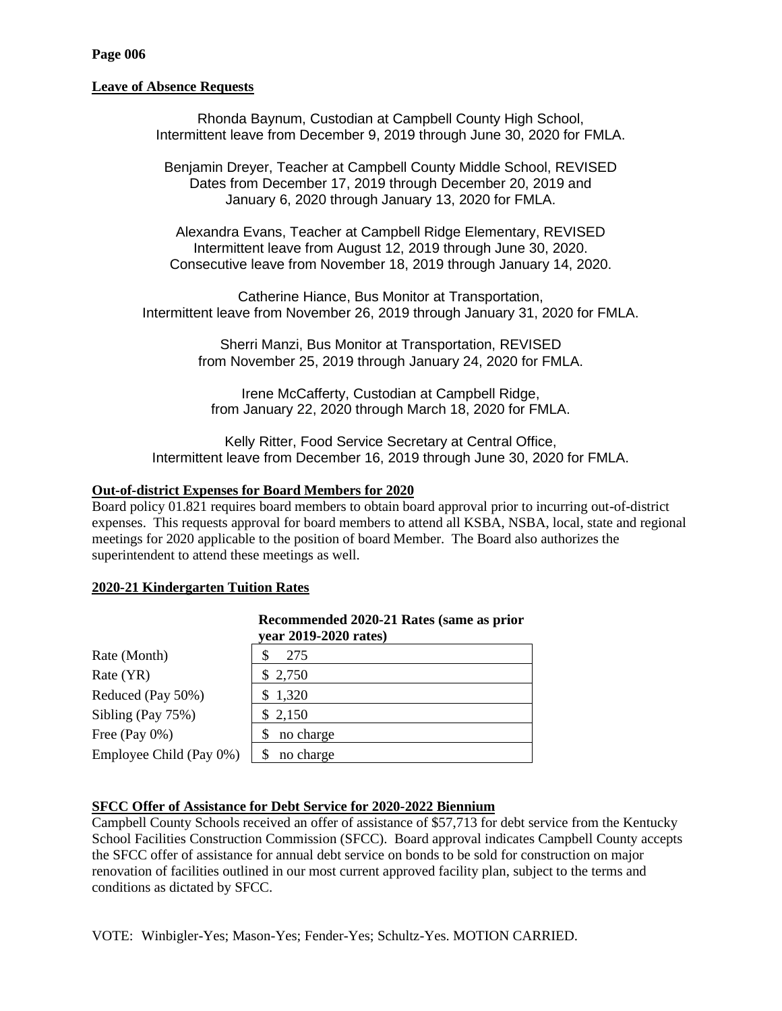# **Leave of Absence Requests**

Rhonda Baynum, Custodian at Campbell County High School, Intermittent leave from December 9, 2019 through June 30, 2020 for FMLA.

Benjamin Dreyer, Teacher at Campbell County Middle School, REVISED Dates from December 17, 2019 through December 20, 2019 and January 6, 2020 through January 13, 2020 for FMLA.

Alexandra Evans, Teacher at Campbell Ridge Elementary, REVISED Intermittent leave from August 12, 2019 through June 30, 2020. Consecutive leave from November 18, 2019 through January 14, 2020.

Catherine Hiance, Bus Monitor at Transportation, Intermittent leave from November 26, 2019 through January 31, 2020 for FMLA.

> Sherri Manzi, Bus Monitor at Transportation, REVISED from November 25, 2019 through January 24, 2020 for FMLA.

Irene McCafferty, Custodian at Campbell Ridge, from January 22, 2020 through March 18, 2020 for FMLA.

Kelly Ritter, Food Service Secretary at Central Office, Intermittent leave from December 16, 2019 through June 30, 2020 for FMLA.

# **Out-of-district Expenses for Board Members for 2020**

Board policy 01.821 requires board members to obtain board approval prior to incurring out-of-district expenses. This requests approval for board members to attend all KSBA, NSBA, local, state and regional meetings for 2020 applicable to the position of board Member. The Board also authorizes the superintendent to attend these meetings as well.

# **2020-21 Kindergarten Tuition Rates**

|                         | year 2019-2020 rates) |
|-------------------------|-----------------------|
| Rate (Month)            | 275                   |
| Rate (YR)               | \$2,750               |
| Reduced (Pay 50%)       | \$1,320               |
| Sibling (Pay 75%)       | \$2,150               |
| Free (Pay $0\%$ )       | no charge             |
| Employee Child (Pay 0%) | no charge             |

# **Recommended 2020-21 Rates (same as prior**

# **SFCC Offer of Assistance for Debt Service for 2020-2022 Biennium**

Campbell County Schools received an offer of assistance of \$57,713 for debt service from the Kentucky School Facilities Construction Commission (SFCC). Board approval indicates Campbell County accepts the SFCC offer of assistance for annual debt service on bonds to be sold for construction on major renovation of facilities outlined in our most current approved facility plan, subject to the terms and conditions as dictated by SFCC.

VOTE: Winbigler-Yes; Mason-Yes; Fender-Yes; Schultz-Yes. MOTION CARRIED.